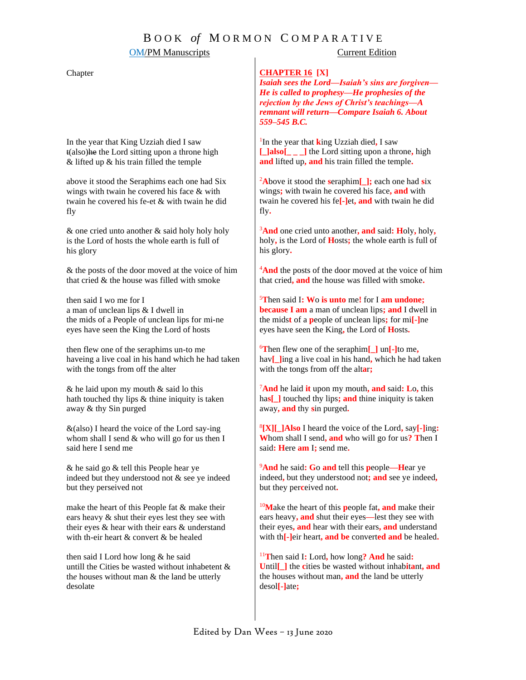## B O O K *of* M O R M O N C O M P A R A T I V E

## **OM/PM Manuscripts** Current Edition

### Chapter

In the year that King Uzziah died I saw t(also)he the Lord sitting upon a throne high & lifted up & his train filled the temple

above it stood the Seraphims each one had Six wings with twain he covered his face & with twain he cove*r*ed his fe-et & with twain he did fly

& one cried unto another & said holy holy holy is the Lord of hosts the whole earth is full of his glory

& the posts of the door moved at the voice of him that cried & the house was filled with smoke

then said I wo me for I a man of unclean lips & I dwell in the mids of a People of unclean lips for mi-ne eyes have seen the King the Lord of hosts

then flew one of the seraphims un-to me haveing a live coal in his hand which he had taken with the tongs from off the alter

 $&$  he laid upon my mouth  $&$  said lo this hath touched thy lips & thine iniquity is taken away & thy Sin purged

 $&$ (also) I heard the voice of the Lord say-ing whom shall I send & who will go for us then I said here I send me

& he said go & tell this People hear ye indeed but they understood not & see ye indeed but they perseived not

make the heart of this People fat & make their ears heavy & shut their eyes lest they see with their eyes & hear with their ears & understand with th-eir heart & convert & be healed

then said I Lord how long & he said untill the Cities be wasted without inhabetent & th*e* houses without man & the land be utterly desolate

### **CHAPTER 16 [X]**

*Isaiah sees the Lord—Isaiah's sins are forgiven— He is called to prophesy—He prophesies of the rejection by the Jews of Christ's teachings—A remnant will return—Compare Isaiah 6. About 559–545 B.C.*

1 In the year that **k**ing Uzziah died**,** I saw **[\_]also[\_ \_ \_]** the Lord sitting upon a throne**,** high **and** lifted up**, and** his train filled the temple**.**

<sup>2</sup>**A**bove it stood the **s**eraphim**[\_];** each one had **s**ix wings**;** with twain he covered his face**, and** with twain he covered his fe**[-]**et**, and** with twain he did fly**.**

<sup>3</sup>**And** one cried unto another**, and** said**: H**oly**,** holy**,** holy**,** is the Lord of **H**osts**;** the whole earth is full of his glory**.**

<sup>4</sup>And the posts of the door moved at the voice of him that cried**, and** the house was filled with smoke**.**

<sup>5</sup>**T**hen said I**: W**o **is unto** me**!** for I **am undone; because I am** a man of unclean lips**; and** I dwell in the mids**t** of a **p**eople of unclean lips**;** for mi**[-]**ne eyes have seen the King**,** the Lord of **H**osts**.**

<sup>6</sup>**T**hen flew one of the seraphim**[\_]** un**[-]**to me**,** hav**[\_]**ing a live coal in his hand**,** which he had taken with the tongs from off the alt**a**r**;**

<sup>7</sup>**And** he laid **it** upon my mouth**, and** said**: L**o**,** this has<sup>[1]</sup> touched thy lips; and thine iniquity is taken away**, and** thy **s**in purged**.**

8 **[X][\_]Also** I heard the voice of the Lord**,** say**[-]**ing**: W**hom shall I send**, and** who will go for us**? T**hen I said**: H**ere **am** I**;** send me**.**

<sup>9</sup>**And** he said**: G**o **and** tell this **p**eople**—H**ear ye indeed**,** but they understood not**; and** see ye indeed**,** but they per**c**eived not**.**

<sup>10</sup>**M**ake the heart of this **p**eople fat**, and** make their ears heavy**, and** shut their eyes**—**lest they see with their eyes**, and** hear with their ears**, and** understand with th**[-]**eir heart**, and be** convert**ed and** be healed**.**

<sup>11</sup>**T**hen said I**:** Lord**,** how long**? And** he said**: U**ntil**[\_]** the **c**ities be wasted without inhab**i**t**a**nt**, and** the houses without man**, and** the land be utterly desol**[-]**ate**;**